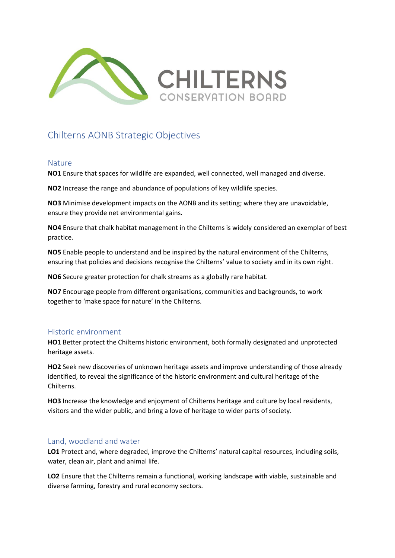

# Chilterns AONB Strategic Objectives

#### Nature

**NO1** Ensure that spaces for wildlife are expanded, well connected, well managed and diverse.

**NO2** Increase the range and abundance of populations of key wildlife species.

**NO3** Minimise development impacts on the AONB and its setting; where they are unavoidable, ensure they provide net environmental gains.

**NO4** Ensure that chalk habitat management in the Chilterns is widely considered an exemplar of best practice.

**NO5** Enable people to understand and be inspired by the natural environment of the Chilterns, ensuring that policies and decisions recognise the Chilterns' value to society and in its own right.

**NO6** Secure greater protection for chalk streams as a globally rare habitat.

**NO7** Encourage people from different organisations, communities and backgrounds, to work together to 'make space for nature' in the Chilterns.

## Historic environment

**HO1** Better protect the Chilterns historic environment, both formally designated and unprotected heritage assets.

**HO2** Seek new discoveries of unknown heritage assets and improve understanding of those already identified, to reveal the significance of the historic environment and cultural heritage of the Chilterns.

**HO3** Increase the knowledge and enjoyment of Chilterns heritage and culture by local residents, visitors and the wider public, and bring a love of heritage to wider parts of society.

## Land, woodland and water

**LO1** Protect and, where degraded, improve the Chilterns' natural capital resources, including soils, water, clean air, plant and animal life.

**LO2** Ensure that the Chilterns remain a functional, working landscape with viable, sustainable and diverse farming, forestry and rural economy sectors.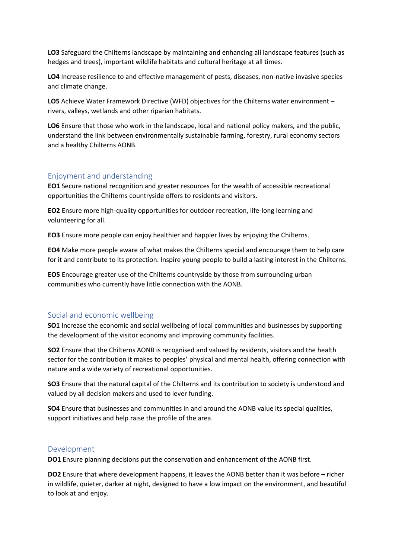**LO3** Safeguard the Chilterns landscape by maintaining and enhancing all landscape features (such as hedges and trees), important wildlife habitats and cultural heritage at all times.

**LO4** Increase resilience to and effective management of pests, diseases, non-native invasive species and climate change.

**LO5** Achieve Water Framework Directive (WFD) objectives for the Chilterns water environment – rivers, valleys, wetlands and other riparian habitats.

**LO6** Ensure that those who work in the landscape, local and national policy makers, and the public, understand the link between environmentally sustainable farming, forestry, rural economy sectors and a healthy Chilterns AONB.

#### Enjoyment and understanding

**EO1** Secure national recognition and greater resources for the wealth of accessible recreational opportunities the Chilterns countryside offers to residents and visitors.

**EO2** Ensure more high-quality opportunities for outdoor recreation, life-long learning and volunteering for all.

**EO3** Ensure more people can enjoy healthier and happier lives by enjoying the Chilterns.

**EO4** Make more people aware of what makes the Chilterns special and encourage them to help care for it and contribute to its protection. Inspire young people to build a lasting interest in the Chilterns.

**EO5** Encourage greater use of the Chilterns countryside by those from surrounding urban communities who currently have little connection with the AONB.

#### Social and economic wellbeing

**SO1** Increase the economic and social wellbeing of local communities and businesses by supporting the development of the visitor economy and improving community facilities.

**SO2** Ensure that the Chilterns AONB is recognised and valued by residents, visitors and the health sector for the contribution it makes to peoples' physical and mental health, offering connection with nature and a wide variety of recreational opportunities.

**SO3** Ensure that the natural capital of the Chilterns and its contribution to society is understood and valued by all decision makers and used to lever funding.

**SO4** Ensure that businesses and communities in and around the AONB value its special qualities, support initiatives and help raise the profile of the area.

#### Development

**DO1** Ensure planning decisions put the conservation and enhancement of the AONB first.

**DO2** Ensure that where development happens, it leaves the AONB better than it was before – richer in wildlife, quieter, darker at night, designed to have a low impact on the environment, and beautiful to look at and enjoy.